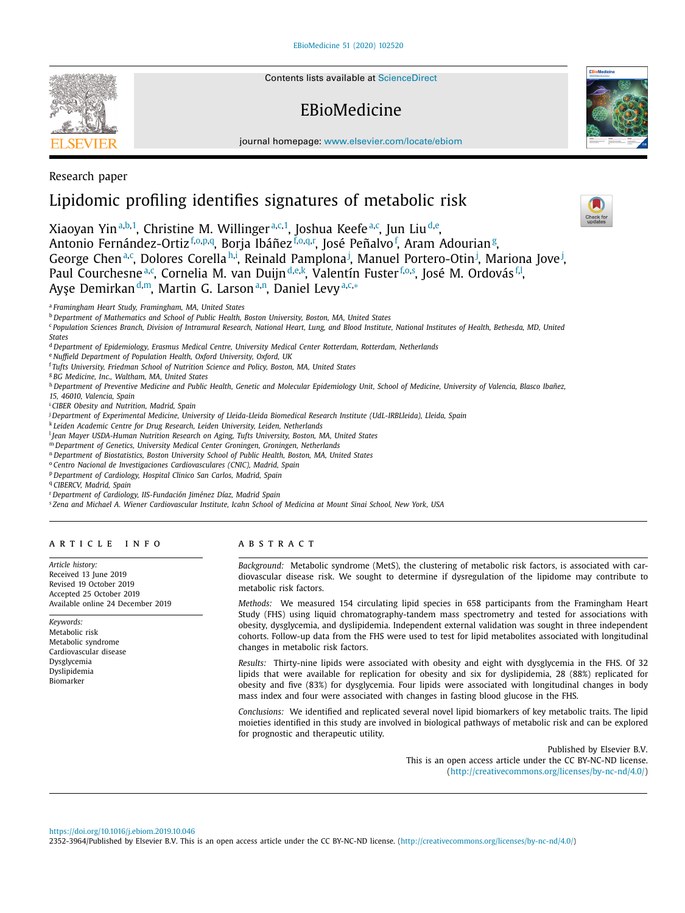# [EBioMedicine](https://doi.org/10.1016/j.ebiom.2019.10.046) 51 (2020) 102520

Contents lists available at [ScienceDirect](http://www.ScienceDirect.com)

# EBioMedicine

journal homepage: [www.elsevier.com/locate/ebiom](http://www.elsevier.com/locate/ebiom)



# Research paper

# Lipidomic profiling identifies signatures of metabolic risk

Xiaoyan Yin<sup>a,b[,1](#page-1-0)</sup>, Christine M. Willinger<sup>a,c,1</sup>, Joshua Keefe<sup>a,c</sup>, Jun Liu<sup>d,e</sup>,

Antonio Fernández-Ortiz<sup>f,o,p,q</sup>, Borja Ibáñez<sup>f,o,q,r</sup>, José Peñalvo<sup>f</sup>, Aram Adourian<sup>g</sup>, George Chen<sup>a,c</sup>, Dolores Corella<sup>h,i</sup>, Reinald Pamplona<sup>j</sup>, Manuel Portero-Otin<sup>j</sup>, Mariona Jove<sup>j</sup>, Paul Courchesne<sup>a,c</sup>, Cornelia M. van Duijn<sup>d,e,k</sup>, Valentín Fuster<sup>f,o,s</sup>, José M. Ordovás<sup>f,l</sup>, Ayse Demirkan<sup>d,m</sup>, Martin G. Larson<sup>a,n</sup>, Daniel Levy<sup>a,c,[∗](#page-1-0)</sup>

<sup>a</sup> *Framingham Heart Study, Framingham, MA, United States*

<sup>b</sup> *Department of Mathematics and School of Public Health, Boston University, Boston, MA, United States*

<sup>c</sup> Population Sciences Branch, Division of Intramural Research, National Heart, Lung, and Blood Institute, National Institutes of Health, Bethesda, MD, United *States*

<sup>d</sup> *Department of Epidemiology, Erasmus Medical Centre, University Medical Center Rotterdam, Rotterdam, Netherlands*

<sup>e</sup> *Nuffield Department of Population Health, Oxford University, Oxford, UK*

<sup>f</sup> *Tufts University, Friedman School of Nutrition Science and Policy, Boston, MA, United States*

<sup>g</sup> *BG Medicine, Inc., Waltham, MA, United States*

h Department of Preventive Medicine and Public Health, Genetic and Molecular Epidemiology Unit, School of Medicine, University of Valencia, Blasco Ibañez, *15, 46010, Valencia, Spain*

<sup>i</sup> *CIBER Obesity and Nutrition, Madrid, Spain*

<sup>j</sup> *Department of Experimental Medicine, University of Lleida-Lleida Biomedical Research Institute (UdL-IRBLleida), Lleida, Spain*

<sup>k</sup> *Leiden Academic Centre for Drug Research, Leiden University, Leiden, Netherlands*

<sup>l</sup> *Jean Mayer USDA-Human Nutrition Research on Aging, Tufts University, Boston, MA, United States*

<sup>m</sup> *Department of Genetics, University Medical Center Groningen, Groningen, Netherlands*

<sup>n</sup> *Department of Biostatistics, Boston University School of Public Health, Boston, MA, United States*

<sup>o</sup> *Centro Nacional de Investigaciones Cardiovasculares (CNIC), Madrid, Spain*

<sup>p</sup> *Department of Cardiology, Hospital Clinico San Carlos, Madrid, Spain*

<sup>q</sup> *CIBERCV, Madrid, Spain*

<sup>r</sup> *Department of Cardiology, IIS-Fundación Jiménez Díaz, Madrid Spain*

<sup>s</sup> Zena and Michael A. Wiener Cardiovascular Institute, Icahn School of Medicina at Mount Sinai School, New York, USA

# a r t i c l e i n f o

*Article history:* Received 13 June 2019 Revised 19 October 2019 Accepted 25 October 2019 Available online 24 December 2019

*Keywords:* Metabolic risk Metabolic syndrome Cardiovascular disease Dysglycemia Dyslipidemia Biomarker

# A B S T R A C T

*Background:* Metabolic syndrome (MetS), the clustering of metabolic risk factors, is associated with cardiovascular disease risk. We sought to determine if dysregulation of the lipidome may contribute to metabolic risk factors.

*Methods:* We measured 154 circulating lipid species in 658 participants from the Framingham Heart Study (FHS) using liquid chromatography-tandem mass spectrometry and tested for associations with obesity, dysglycemia, and dyslipidemia. Independent external validation was sought in three independent cohorts. Follow-up data from the FHS were used to test for lipid metabolites associated with longitudinal changes in metabolic risk factors.

*Results:* Thirty-nine lipids were associated with obesity and eight with dysglycemia in the FHS. Of 32 lipids that were available for replication for obesity and six for dyslipidemia, 28 (88%) replicated for obesity and five (83%) for dysglycemia. Four lipids were associated with longitudinal changes in body mass index and four were associated with changes in fasting blood glucose in the FHS.

*Conclusions:* We identified and replicated several novel lipid biomarkers of key metabolic traits. The lipid moieties identified in this study are involved in biological pathways of metabolic risk and can be explored for prognostic and therapeutic utility.

Published by Elsevier B.V.

This is an open access article under the CC BY-NC-ND license. [\(http://creativecommons.org/licenses/by-nc-nd/4.0/\)](http://creativecommons.org/licenses/by-nc-nd/4.0/)

<https://doi.org/10.1016/j.ebiom.2019.10.046>

2352-3964/Published by Elsevier B.V. This is an open access article under the CC BY-NC-ND license. [\(http://creativecommons.org/licenses/by-nc-nd/4.0/\)](http://creativecommons.org/licenses/by-nc-nd/4.0/)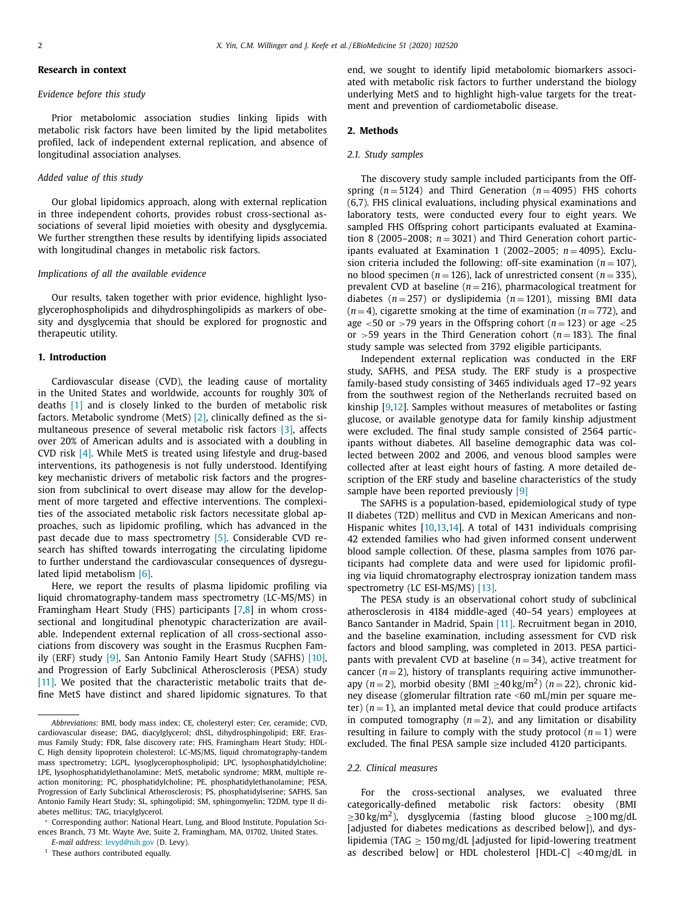# <span id="page-1-0"></span>**Research in context**

#### *Evidence before this study*

Prior metabolomic association studies linking lipids with metabolic risk factors have been limited by the lipid metabolites profiled, lack of independent external replication, and absence of longitudinal association analyses.

# *Added value of this study*

Our global lipidomics approach, along with external replication in three independent cohorts, provides robust cross-sectional associations of several lipid moieties with obesity and dysglycemia. We further strengthen these results by identifying lipids associated with longitudinal changes in metabolic risk factors.

## *Implications of all the available evidence*

Our results, taken together with prior evidence, highlight lysoglycerophospholipids and dihydrosphingolipids as markers of obesity and dysglycemia that should be explored for prognostic and therapeutic utility.

#### **1. Introduction**

Cardiovascular disease (CVD), the leading cause of mortality in the United States and worldwide, accounts for roughly 30% of deaths [\[1\]](#page-7-0) and is closely linked to the burden of metabolic risk factors. Metabolic syndrome (MetS) [\[2\],](#page-7-0) clinically defined as the simultaneous presence of several metabolic risk factors [\[3\],](#page-7-0) affects over 20% of American adults and is associated with a doubling in CVD risk [\[4\].](#page-7-0) While MetS is treated using lifestyle and drug-based interventions, its pathogenesis is not fully understood. Identifying key mechanistic drivers of metabolic risk factors and the progression from subclinical to overt disease may allow for the development of more targeted and effective interventions. The complexities of the associated metabolic risk factors necessitate global approaches, such as lipidomic profiling, which has advanced in the past decade due to mass spectrometry [\[5\].](#page-7-0) Considerable CVD research has shifted towards interrogating the circulating lipidome to further understand the cardiovascular consequences of dysregulated lipid metabolism [\[6\].](#page-7-0)

Here, we report the results of plasma lipidomic profiling via liquid chromatography-tandem mass spectrometry (LC-MS/MS) in Framingham Heart Study (FHS) participants [\[7,8\]](#page-7-0) in whom crosssectional and longitudinal phenotypic characterization are available. Independent external replication of all cross-sectional associations from discovery was sought in the Erasmus Rucphen Family (ERF) study [\[9\],](#page-7-0) San Antonio Family Heart Study (SAFHS) [\[10\],](#page-7-0) and Progression of Early Subclinical Atherosclerosis (PESA) study [\[11\].](#page-7-0) We posited that the characteristic metabolic traits that define MetS have distinct and shared lipidomic signatures. To that

<sup>1</sup> These authors contributed equally.

end, we sought to identify lipid metabolomic biomarkers associated with metabolic risk factors to further understand the biology underlying MetS and to highlight high-value targets for the treatment and prevention of cardiometabolic disease.

#### **2. Methods**

#### *2.1. Study samples*

The discovery study sample included participants from the Offspring  $(n = 5124)$  and Third Generation  $(n = 4095)$  FHS cohorts (6,7). FHS clinical evaluations, including physical examinations and laboratory tests, were conducted every four to eight years. We sampled FHS Offspring cohort participants evaluated at Examination 8 (2005–2008;  $n = 3021$ ) and Third Generation cohort participants evaluated at Examination 1 (2002–2005;  $n = 4095$ ). Exclusion criteria included the following: off-site examination  $(n = 107)$ , no blood specimen ( $n = 126$ ), lack of unrestricted consent ( $n = 335$ ), prevalent CVD at baseline  $(n=216)$ , pharmacological treatment for diabetes  $(n = 257)$  or dyslipidemia  $(n = 1201)$ , missing BMI data  $(n=4)$ , cigarette smoking at the time of examination  $(n=772)$ , and age  $\lt$  50 or  $>$ 79 years in the Offspring cohort ( $n$  = 123) or age  $\lt$  25 or  $>59$  years in the Third Generation cohort ( $n = 183$ ). The final study sample was selected from 3792 eligible participants.

Independent external replication was conducted in the ERF study, SAFHS, and PESA study. The ERF study is a prospective family-based study consisting of 3465 individuals aged 17–92 years from the southwest region of the Netherlands recruited based on kinship [\[9,12\]](#page-7-0). Samples without measures of metabolites or fasting glucose, or available genotype data for family kinship adjustment were excluded. The final study sample consisted of 2564 participants without diabetes. All baseline demographic data was collected between 2002 and 2006, and venous blood samples were collected after at least eight hours of fasting. A more detailed description of the ERF study and baseline characteristics of the study sample have been reported previously [\[9\]](#page-7-0)

The SAFHS is a population-based, epidemiological study of type II diabetes (T2D) mellitus and CVD in Mexican Americans and non-Hispanic whites [\[10,13,14\]](#page-7-0). A total of 1431 individuals comprising 42 extended families who had given informed consent underwent blood sample collection. Of these, plasma samples from 1076 participants had complete data and were used for lipidomic profiling via liquid chromatography electrospray ionization tandem mass spectrometry (LC ESI-MS/MS) [\[13\].](#page-7-0)

The PESA study is an observational cohort study of subclinical atherosclerosis in 4184 middle-aged (40–54 years) employees at Banco Santander in Madrid, Spain [\[11\].](#page-7-0) Recruitment began in 2010, and the baseline examination, including assessment for CVD risk factors and blood sampling, was completed in 2013. PESA participants with prevalent CVD at baseline  $(n=34)$ , active treatment for cancer  $(n=2)$ , history of transplants requiring active immunotherapy  $(n=2)$ , morbid obesity (BMI  $\geq$ 40 kg/m<sup>2</sup>)  $(n=22)$ , chronic kidney disease (glomerular filtration rate ˂60 mL/min per square meter)  $(n=1)$ , an implanted metal device that could produce artifacts in computed tomography  $(n=2)$ , and any limitation or disability resulting in failure to comply with the study protocol  $(n=1)$  were excluded. The final PESA sample size included 4120 participants.

## *2.2. Clinical measures*

For the cross-sectional analyses, we evaluated three categorically-defined metabolic risk factors: obesity (BMI  $\geq$  30 kg/m<sup>2</sup>), dysglycemia (fasting blood glucose  $\geq$  100 mg/dL [adjusted for diabetes medications as described below]), and dyslipidemia (TAG  $\geq 150$  mg/dL [adjusted for lipid-lowering treatment as described below] or HDL cholesterol [HDL-C] <40 mg/dL in

*Abbreviations:* BMI, body mass index; CE, cholesteryl ester; Cer, ceramide; CVD, cardiovascular disease; DAG, diacylglycerol; dhSL, dihydrosphingolipid; ERF, Erasmus Family Study; FDR, false discovery rate; FHS, Framingham Heart Study; HDL-C, High density lipoprotein cholesterol; LC-MS/MS, liquid chromatography-tandem mass spectrometry; LGPL, lysoglycerophospholipid; LPC, lysophosphatidylcholine; LPE, lysophosphatidylethanolamine; MetS, metabolic syndrome; MRM, multiple reaction monitoring; PC, phosphatidylcholine; PE, phosphatidylethanolamine; PESA, Progression of Early Subclinical Atherosclerosis; PS, phosphatidylserine; SAFHS, San Antonio Family Heart Study; SL, sphingolipid; SM, sphingomyelin; T2DM, type II diabetes mellitus; TAG, triacylglycerol.

<sup>∗</sup> Corresponding author: National Heart, Lung, and Blood Institute, Population Sciences Branch, 73 Mt. Wayte Ave, Suite 2, Framingham, MA, 01702, United States.

*E-mail address:* [levyd@nih.gov](mailto:levyd@nih.gov) (D. Levy).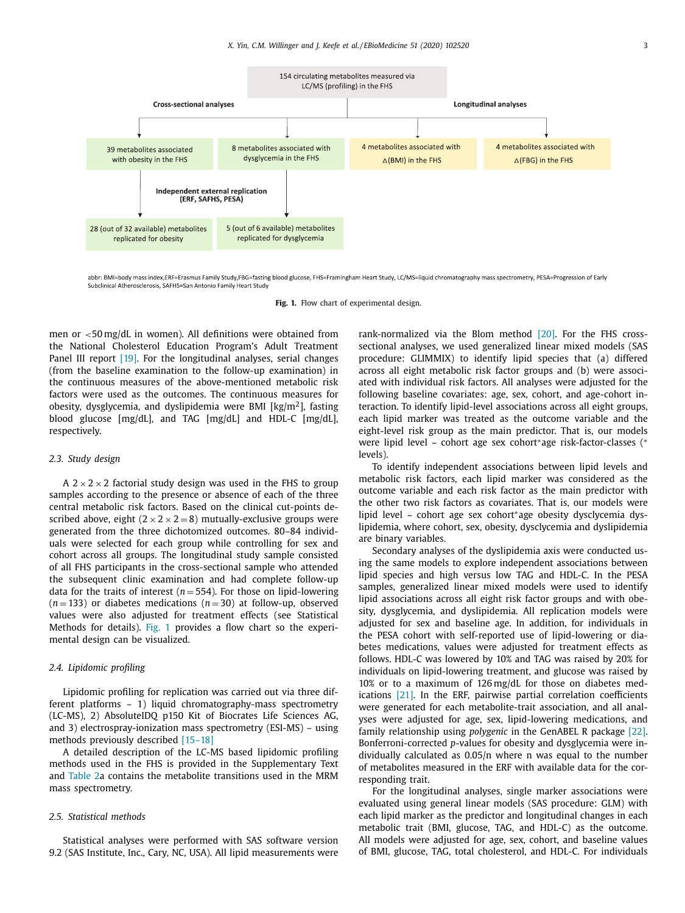<span id="page-2-0"></span>

abbr: BMI=body mass index,ERF=Erasmus Family Study,FBG=fasting blood glucose, FHS=Framingham Heart Study, LC/MS=liquid chromatography mass spectrometry, PESA=Progression of Early Subclinical Atherosclerosis, SAFHS=San Antonio Family Heart Study

**Fig. 1.** Flow chart of experimental design.

men or <50 mg/dL in women). All definitions were obtained from the National Cholesterol Education Program's Adult Treatment Panel III report [\[19\].](#page-7-0) For the longitudinal analyses, serial changes (from the baseline examination to the follow-up examination) in the continuous measures of the above-mentioned metabolic risk factors were used as the outcomes. The continuous measures for obesity, dysglycemia, and dyslipidemia were BMI  $\lceil \text{kg/m}^2 \rceil$ , fasting blood glucose [mg/dL], and TAG [mg/dL] and HDL-C [mg/dL], respectively.

# *2.3. Study design*

A  $2 \times 2 \times 2$  factorial study design was used in the FHS to group samples according to the presence or absence of each of the three central metabolic risk factors. Based on the clinical cut-points described above, eight  $(2 \times 2 \times 2 = 8)$  mutually-exclusive groups were generated from the three dichotomized outcomes. 80–84 individuals were selected for each group while controlling for sex and cohort across all groups. The longitudinal study sample consisted of all FHS participants in the cross-sectional sample who attended the subsequent clinic examination and had complete follow-up data for the traits of interest ( $n = 554$ ). For those on lipid-lowering  $(n=133)$  or diabetes medications  $(n=30)$  at follow-up, observed values were also adjusted for treatment effects (see Statistical Methods for details). Fig. 1 provides a flow chart so the experimental design can be visualized.

# *2.4. Lipidomic profiling*

Lipidomic profiling for replication was carried out via three different platforms – 1) liquid chromatography-mass spectrometry (LC-MS), 2) AbsoluteIDQ p150 Kit of Biocrates Life Sciences AG, and 3) electrospray-ionization mass spectrometry (ESI-MS) – using methods previously described [\[15–18\]](#page-7-0)

A detailed description of the LC-MS based lipidomic profiling methods used in the FHS is provided in the Supplementary Text and [Table](#page-4-0) 2a contains the metabolite transitions used in the MRM mass spectrometry.

# *2.5. Statistical methods*

Statistical analyses were performed with SAS software version 9.2 (SAS Institute, Inc., Cary, NC, USA). All lipid measurements were rank-normalized via the Blom method [\[20\].](#page-7-0) For the FHS crosssectional analyses, we used generalized linear mixed models (SAS procedure: GLIMMIX) to identify lipid species that (a) differed across all eight metabolic risk factor groups and (b) were associated with individual risk factors. All analyses were adjusted for the following baseline covariates: age, sex, cohort, and age-cohort interaction. To identify lipid-level associations across all eight groups, each lipid marker was treated as the outcome variable and the eight-level risk group as the main predictor. That is, our models were lipid level ~ cohort age sex cohort∗age risk-factor-classes (∗ levels).

To identify independent associations between lipid levels and metabolic risk factors, each lipid marker was considered as the outcome variable and each risk factor as the main predictor with the other two risk factors as covariates. That is, our models were lipid level ~ cohort age sex cohort∗age obesity dysclycemia dyslipidemia, where cohort, sex, obesity, dysclycemia and dyslipidemia are binary variables.

Secondary analyses of the dyslipidemia axis were conducted using the same models to explore independent associations between lipid species and high versus low TAG and HDL-C. In the PESA samples, generalized linear mixed models were used to identify lipid associations across all eight risk factor groups and with obesity, dysglycemia, and dyslipidemia. All replication models were adjusted for sex and baseline age. In addition, for individuals in the PESA cohort with self-reported use of lipid-lowering or diabetes medications, values were adjusted for treatment effects as follows. HDL-C was lowered by 10% and TAG was raised by 20% for individuals on lipid-lowering treatment, and glucose was raised by 10% or to a maximum of 126 mg/dL for those on diabetes medications [\[21\].](#page-7-0) In the ERF, pairwise partial correlation coefficients were generated for each metabolite-trait association, and all analyses were adjusted for age, sex, lipid-lowering medications, and family relationship using *polygenic* in the GenABEL R package [\[22\].](#page-7-0) Bonferroni-corrected *p*-values for obesity and dysglycemia were individually calculated as 0.05/n where n was equal to the number of metabolites measured in the ERF with available data for the corresponding trait.

For the longitudinal analyses, single marker associations were evaluated using general linear models (SAS procedure: GLM) with each lipid marker as the predictor and longitudinal changes in each metabolic trait (BMI, glucose, TAG, and HDL-C) as the outcome. All models were adjusted for age, sex, cohort, and baseline values of BMI, glucose, TAG, total cholesterol, and HDL-C. For individuals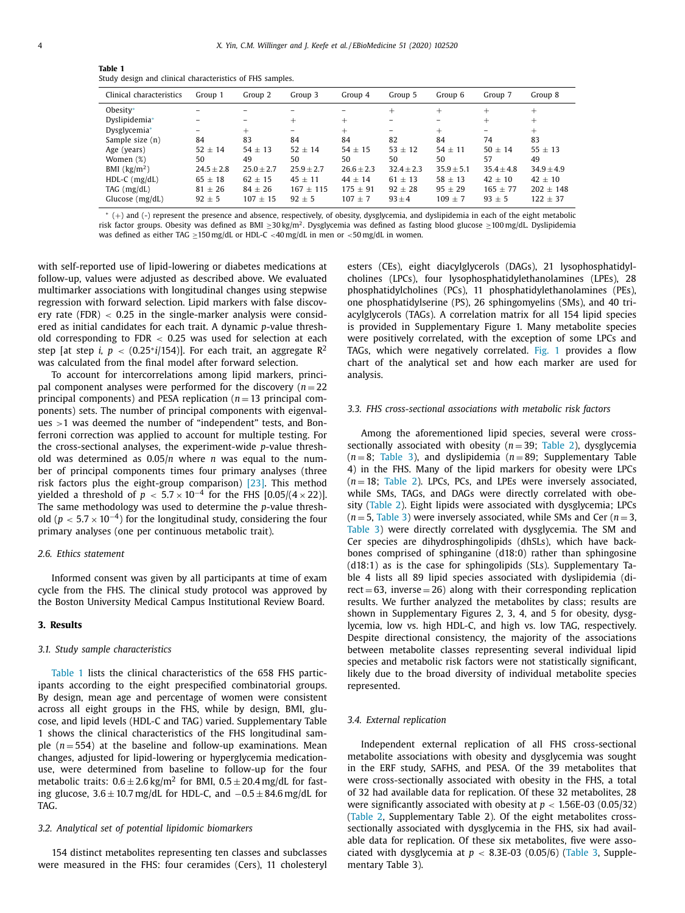| Clinical characteristics          | Group 1        | Group 2        | Group 3      | Group 4      | Group 5      | Group 6      | Group 7        | Group 8        |
|-----------------------------------|----------------|----------------|--------------|--------------|--------------|--------------|----------------|----------------|
| Obesity*                          |                |                |              |              | $^{+}$       | $^+$         | $^{+}$         | $^+$           |
| Dyslipidemia*                     |                |                | $^{+}$       | $^+$         |              |              | $^{+}$         | $^+$           |
| Dysglycemia*                      |                | $^{+}$         |              | $^{+}$       |              | $^{+}$       | -              | $^+$           |
| Sample size (n)                   | 84             | 83             | 84           | 84           | 82           | 84           | 74             | 83             |
| Age (years)                       | $52 \pm 14$    | $54 \pm 13$    | $52 + 14$    | $54 \pm 15$  | $53 + 12$    | $54 \pm 11$  | $50 \pm 14$    | $55 \pm 13$    |
| Women $(\%)$                      | 50             | 49             | 50           | 50           | 50           | 50           | 57             | 49             |
| BMI $\left(\frac{kg}{m^2}\right)$ | $24.5 \pm 2.8$ | $25.0 \pm 2.7$ | $25.9 + 2.7$ | $26.6 + 2.3$ | $32.4 + 2.3$ | $35.9 + 5.1$ | $35.4 \pm 4.8$ | $34.9 \pm 4.9$ |
| $HDL-C$ (mg/dL)                   | $65 \pm 18$    | $62 \pm 15$    | $45 + 11$    | $44 + 14$    | $61 + 13$    | $58 + 13$    | $42 + 10$      | $42 + 10$      |
| TAG $(mg/dL)$                     | $81 + 26$      | $84 \pm 26$    | $167 + 115$  | $175 + 91$   | $92 + 28$    | $95 + 29$    | $165 + 77$     | $202 \pm 148$  |
| Glucose $(mg/dL)$                 | $92 + 5$       | $107 + 15$     | $92 + 5$     | $107 + 7$    | $93 \pm 4$   | $109 + 7$    | $93 + 5$       | $122 + 37$     |

**Table 1** Study design and clinical characteristics of FHS samples.

<sup>∗</sup> (+) and (-) represent the presence and absence, respectively, of obesity, dysglycemia, and dyslipidemia in each of the eight metabolic risk factor groups. Obesity was defined as BMI <sup>≥</sup><sup>30</sup> kg/m2. Dysglycemia was defined as fasting blood glucose <sup>≥</sup><sup>100</sup> mg/dL. Dyslipidemia was defined as either TAG ≥150 mg/dL or HDL-C <40 mg/dL in men or <50 mg/dL in women.

with self-reported use of lipid-lowering or diabetes medications at follow-up, values were adjusted as described above. We evaluated multimarker associations with longitudinal changes using stepwise regression with forward selection. Lipid markers with false discovery rate (FDR)  $<$  0.25 in the single-marker analysis were considered as initial candidates for each trait. A dynamic *p*-value threshold corresponding to  $FDR < 0.25$  was used for selection at each step [at step *i, p* <  $(0.25 * i/154)$ ]. For each trait, an aggregate  $\mathbb{R}^2$ was calculated from the final model after forward selection.

To account for intercorrelations among lipid markers, principal component analyses were performed for the discovery  $(n=22)$ principal components) and PESA replication  $(n = 13)$  principal components) sets. The number of principal components with eigenvalues  $>1$  was deemed the number of "independent" tests, and Bonferroni correction was applied to account for multiple testing. For the cross-sectional analyses, the experiment-wide *p*-value threshold was determined as 0.05/*n* where *n* was equal to the number of principal components times four primary analyses (three risk factors plus the eight-group comparison) [\[23\].](#page-7-0) This method vielded a threshold of *p* <  $5.7 \times 10^{-4}$  for the FHS [0.05/(4 × 22)]. The same methodology was used to determine the *p*-value threshold ( $p < 5.7 \times 10^{-4}$ ) for the longitudinal study, considering the four primary analyses (one per continuous metabolic trait).

# *2.6. Ethics statement*

Informed consent was given by all participants at time of exam cycle from the FHS. The clinical study protocol was approved by the Boston University Medical Campus Institutional Review Board.

#### **3. Results**

#### *3.1. Study sample characteristics*

Table 1 lists the clinical characteristics of the 658 FHS participants according to the eight prespecified combinatorial groups. By design, mean age and percentage of women were consistent across all eight groups in the FHS, while by design, BMI, glucose, and lipid levels (HDL-C and TAG) varied. Supplementary Table 1 shows the clinical characteristics of the FHS longitudinal sample  $(n=554)$  at the baseline and follow-up examinations. Mean changes, adjusted for lipid-lowering or hyperglycemia medicationuse, were determined from baseline to follow-up for the four metabolic traits:  $0.6 \pm 2.6$  kg/m<sup>2</sup> for BMI,  $0.5 \pm 20.4$  mg/dL for fasting glucose,  $3.6 \pm 10.7$  mg/dL for HDL-C, and  $-0.5 \pm 84.6$  mg/dL for TAG.

#### *3.2. Analytical set of potential lipidomic biomarkers*

154 distinct metabolites representing ten classes and subclasses were measured in the FHS: four ceramides (Cers), 11 cholesteryl esters (CEs), eight diacylglycerols (DAGs), 21 lysophosphatidylcholines (LPCs), four lysophosphatidylethanolamines (LPEs), 28 phosphatidylcholines (PCs), 11 phosphatidylethanolamines (PEs), one phosphatidylserine (PS), 26 sphingomyelins (SMs), and 40 triacylglycerols (TAGs). A correlation matrix for all 154 lipid species is provided in Supplementary Figure 1. Many metabolite species were positively correlated, with the exception of some LPCs and TAGs, which were negatively correlated. [Fig.](#page-2-0) 1 provides a flow chart of the analytical set and how each marker are used for analysis.

#### *3.3. FHS cross-sectional associations with metabolic risk factors*

Among the aforementioned lipid species, several were crosssectionally associated with obesity  $(n=39;$  [Table](#page-4-0) 2), dysglycemia  $(n=8;$  [Table](#page-4-0) 3), and dyslipidemia  $(n=89;$  Supplementary Table 4) in the FHS. Many of the lipid markers for obesity were LPCs  $(n=18;$  [Table](#page-4-0) 2). LPCs, PCs, and LPEs were inversely associated, while SMs, TAGs, and DAGs were directly correlated with obesity [\(Table](#page-4-0) 2). Eight lipids were associated with dysglycemia; LPCs  $(n=5,$  [Table](#page-4-0) 3) were inversely associated, while SMs and Cer  $(n=3,$ [Table](#page-4-0) 3) were directly correlated with dysglycemia. The SM and Cer species are dihydrosphingolipids (dhSLs), which have backbones comprised of sphinganine (d18:0) rather than sphingosine (d18:1) as is the case for sphingolipids (SLs). Supplementary Table 4 lists all 89 lipid species associated with dyslipidemia (di $rect = 63$ , inverse = 26) along with their corresponding replication results. We further analyzed the metabolites by class; results are shown in Supplementary Figures 2, 3, 4, and 5 for obesity, dysglycemia, low vs. high HDL-C, and high vs. low TAG, respectively. Despite directional consistency, the majority of the associations between metabolite classes representing several individual lipid species and metabolic risk factors were not statistically significant, likely due to the broad diversity of individual metabolite species represented.

# *3.4. External replication*

Independent external replication of all FHS cross-sectional metabolite associations with obesity and dysglycemia was sought in the ERF study, SAFHS, and PESA. Of the 39 metabolites that were cross-sectionally associated with obesity in the FHS, a total of 32 had available data for replication. Of these 32 metabolites, 28 were significantly associated with obesity at  $p < 1.56E-03$  (0.05/32) [\(Table](#page-4-0) 2, Supplementary Table 2). Of the eight metabolites crosssectionally associated with dysglycemia in the FHS, six had available data for replication. Of these six metabolites, five were associated with dysglycemia at  $p < 8.3E-03$  (0.05/6) [\(Table](#page-4-0) 3, Supplementary Table 3).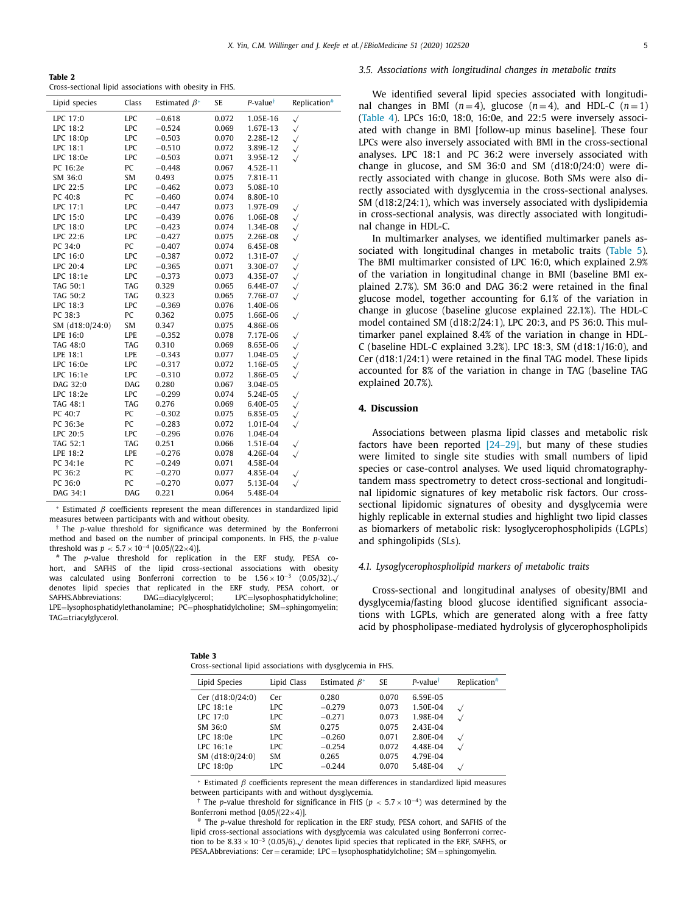<span id="page-4-0"></span>**Table 2** Cross-sectional lipid associations with obesity in FHS.

| Lipid species   | Class      | Estimated $\beta^*$ | SE    | P-value <sup>†</sup> | Replication <sup>#</sup> |
|-----------------|------------|---------------------|-------|----------------------|--------------------------|
| LPC 17:0        | LPC        | $-0.618$            | 0.072 | 1.05E-16             | $\sqrt{}$                |
| LPC 18:2        | LPC        | $-0.524$            | 0.069 | 1.67E-13             | $\sqrt{}$                |
| LPC 18:0p       | LPC        | $-0.503$            | 0.070 | 2.28E-12             | $\checkmark$             |
| LPC 18:1        | LPC        | $-0.510$            | 0.072 | 3.89E-12             | $\checkmark$             |
| LPC 18:0e       | LPC        | $-0.503$            | 0.071 | 3.95E-12             | $\checkmark$             |
| PC 16:2e        | PC         | $-0.448$            | 0.067 | 4.52E-11             |                          |
| SM 36:0         | SM         | 0.493               | 0.075 | 7.81E-11             |                          |
| LPC 22:5        | LPC        | $-0.462$            | 0.073 | 5.08E-10             |                          |
| PC 40:8         | PC         | $-0.460$            | 0.074 | 8.80E-10             |                          |
| LPC 17:1        | LPC        | $-0.447$            | 0.073 | 1.97E-09             | $\checkmark$             |
| LPC 15:0        | LPC        | $-0.439$            | 0.076 | 1.06E-08             | $\sqrt{}$                |
| LPC 18:0        | LPC        | $-0.423$            | 0.074 | 1.34E-08             | $\checkmark$             |
| LPC 22:6        | LPC        | $-0.427$            | 0.075 | 2.26E-08             | $\checkmark$             |
| PC 34:0         | PC         | $-0.407$            | 0.074 | 6.45E-08             |                          |
| LPC 16:0        | LPC        | $-0.387$            | 0.072 | 1.31E-07             | $\checkmark$             |
| LPC 20:4        | LPC        | $-0.365$            | 0.071 | 3.30E-07             | $\checkmark$             |
| LPC 18:1e       | LPC        | $-0.373$            | 0.073 | 4.35E-07             | $\sqrt{}$                |
| TAG 50:1        | <b>TAG</b> | 0.329               | 0.065 | 6.44E-07             | $\sqrt{}$                |
| TAG 50:2        | <b>TAG</b> | 0.323               | 0.065 | 7.76E-07             | $\sqrt{}$                |
| LPC 18:3        | LPC        | $-0.369$            | 0.076 | 1.40E-06             |                          |
| PC 38:3         | PC         | 0.362               | 0.075 | 1.66E-06             | $\sqrt{}$                |
| SM (d18:0/24:0) | SM         | 0.347               | 0.075 | 4.86E-06             |                          |
| LPE 16:0        | <b>LPE</b> | $-0.352$            | 0.078 | 7.17E-06             | $\checkmark$             |
| TAG 48:0        | <b>TAG</b> | 0.310               | 0.069 | 8.65E-06             | $\sqrt{}$                |
| LPE 18:1        | LPE        | $-0.343$            | 0.077 | 1.04E-05             | $\checkmark$             |
| LPC 16:0e       | LPC        | $-0.317$            | 0.072 | 1.16E-05             | $\checkmark$             |
| LPC 16:1e       | LPC        | $-0.310$            | 0.072 | 1.86E-05             | $\sqrt{}$                |
| DAG 32:0        | <b>DAG</b> | 0.280               | 0.067 | 3.04E-05             |                          |
| LPC 18:2e       | LPC        | $-0.299$            | 0.074 | 5.24E-05             | $\checkmark$             |
| TAG 48:1        | <b>TAG</b> | 0.276               | 0.069 | 6.40E-05             | $\sqrt{}$                |
| PC 40:7         | PC         | $-0.302$            | 0.075 | 6.85E-05             | $\checkmark$             |
| PC 36:3e        | PC         | $-0.283$            | 0.072 | 1.01E-04             | $\checkmark$             |
| LPC 20:5        | LPC        | $-0.296$            | 0.076 | 1.04E-04             |                          |
| TAG 52:1        | <b>TAG</b> | 0.251               | 0.066 | 1.51E-04             | $\checkmark$             |
| LPE 18:2        | LPE        | $-0.276$            | 0.078 | 4.26E-04             | $\sqrt{}$                |
| PC 34:1e        | PC         | $-0.249$            | 0.071 | 4.58E-04             |                          |
| PC 36:2         | PC         | $-0.270$            | 0.077 | 4.85E-04             | $\checkmark$             |
| PC 36:0         | PC         | $-0.270$            | 0.077 | 5.13E-04             | $\sqrt{}$                |
| DAG 34:1        | <b>DAG</b> | 0.221               | 0.064 | 5.48E-04             |                          |

<sup>∗</sup> Estimated β coefficients represent the mean differences in standardized lipid measures between participants with and without obesity.

† The *p*-value threshold for significance was determined by the Bonferroni method and based on the number of principal components. In FHS, the *p*-value threshold was  $p < 5.7 \times 10^{-4}$  [0.05/(22×4)].

# The p-value threshold for replication in the ERF study, PESA cohort, and SAFHS of the lipid cross-sectional associations with obesity was calculated using Bonferroni correction to be  $1.56 \times 10^{-3}$  (0.05/32).√ denotes lipid species that replicated in the ERF study, PESA cohort, or SAFHS.Abbreviations: DAG=diacylglycerol; LPC=lysophosphatidylcholine; LPE=lysophosphatidylethanolamine; PC=phosphatidylcholine; SM=sphingomyelin; TAG=triacylglycerol.

| Table 3                                                     |             |                        |           |
|-------------------------------------------------------------|-------------|------------------------|-----------|
| Cross-sectional lipid associations with dysglycemia in FHS. |             |                        |           |
| Linid Species                                               | Linid Class | <b>Estimated</b> $B^*$ | $P$ -valu |

| Lipid Species                 | Lipid Class | Estimated $\beta^*$  | <b>SE</b>      | P-value <sup>†</sup> | Replication <sup>#</sup> |
|-------------------------------|-------------|----------------------|----------------|----------------------|--------------------------|
| Cer (d18:0/24:0)<br>LPC 18:1e | Cer         | 0.280                | 0.070          | 6.59E-05             |                          |
| LPC $17:0$                    | LPC<br>LPC  | $-0.279$<br>$-0.271$ | 0.073<br>0.073 | 1.50E-04<br>1.98E-04 | $\sqrt{ }$<br>$\sqrt{ }$ |
| SM 36:0                       | SM          | 0.275                | 0.075          | 2.43E-04             |                          |
| LPC 18:0e                     | LPC         | $-0.260$             | 0.071          | 2.80E-04             | $\sqrt{ }$               |
| LPC 16:1e                     | LPC         | $-0.254$             | 0.072          | 4.48E-04             | $\sqrt{}$                |
| SM (d18:0/24:0)               | SM          | 0.265                | 0.075          | 4.79E-04             |                          |
| LPC 18:0p                     | LPC         | $-0.244$             | 0.070          | 5.48E-04             | $\sqrt{}$                |

<sup>∗</sup> Estimated β coefficients represent the mean differences in standardized lipid measures between participants with and without dysglycemia.

† The *<sup>p</sup>*-value threshold for significance in FHS (*<sup>p</sup>* <sup>&</sup>lt; 5.7 <sup>×</sup> <sup>10</sup>−4) was determined by the

Bonferroni method [0.05/(22×4)]. # The *<sup>p</sup>*-value threshold for replication in the ERF study, PESA cohort, and SAFHS of the lipid cross-sectional associations with dysglycemia was calculated using Bonferroni correction to be 8.33 <sup>×</sup> <sup>10</sup>−<sup>3</sup> (0.05/6).<sup>√</sup> denotes lipid species that replicated in the ERF, SAFHS, or PESA.Abbreviations: Cer = ceramide; LPC = lysophosphatidylcholine; SM = sphingomyelin.

# *3.5. Associations with longitudinal changes in metabolic traits*

We identified several lipid species associated with longitudinal changes in BMI  $(n=4)$ , glucose  $(n=4)$ , and HDL-C  $(n=1)$ [\(Table](#page-5-0) 4). LPCs 16:0, 18:0, 16:0e, and 22:5 were inversely associated with change in BMI [follow-up minus baseline]. These four LPCs were also inversely associated with BMI in the cross-sectional analyses. LPC 18:1 and PC 36:2 were inversely associated with change in glucose, and SM 36:0 and SM (d18:0/24:0) were directly associated with change in glucose. Both SMs were also directly associated with dysglycemia in the cross-sectional analyses. SM (d18:2/24:1), which was inversely associated with dyslipidemia in cross-sectional analysis, was directly associated with longitudinal change in HDL-C.

In multimarker analyses, we identified multimarker panels associated with longitudinal changes in metabolic traits [\(Table](#page-5-0) 5). The BMI multimarker consisted of LPC 16:0, which explained 2.9% of the variation in longitudinal change in BMI (baseline BMI explained 2.7%). SM 36:0 and DAG 36:2 were retained in the final glucose model, together accounting for 6.1% of the variation in change in glucose (baseline glucose explained 22.1%). The HDL-C model contained SM (d18:2/24:1), LPC 20:3, and PS 36:0. This multimarker panel explained 8.4% of the variation in change in HDL-C (baseline HDL-C explained 3.2%). LPC 18:3, SM (d18:1/16:0), and Cer (d18:1/24:1) were retained in the final TAG model. These lipids accounted for 8% of the variation in change in TAG (baseline TAG explained 20.7%).

# **4. Discussion**

Associations between plasma lipid classes and metabolic risk factors have been reported [\[24–29\],](#page-7-0) but many of these studies were limited to single site studies with small numbers of lipid species or case-control analyses. We used liquid chromatographytandem mass spectrometry to detect cross-sectional and longitudinal lipidomic signatures of key metabolic risk factors. Our crosssectional lipidomic signatures of obesity and dysglycemia were highly replicable in external studies and highlight two lipid classes as biomarkers of metabolic risk: lysoglycerophospholipids (LGPLs) and sphingolipids (SLs).

#### *4.1. Lysoglycerophospholipid markers of metabolic traits*

Cross-sectional and longitudinal analyses of obesity/BMI and dysglycemia/fasting blood glucose identified significant associations with LGPLs, which are generated along with a free fatty acid by phospholipase-mediated hydrolysis of glycerophospholipids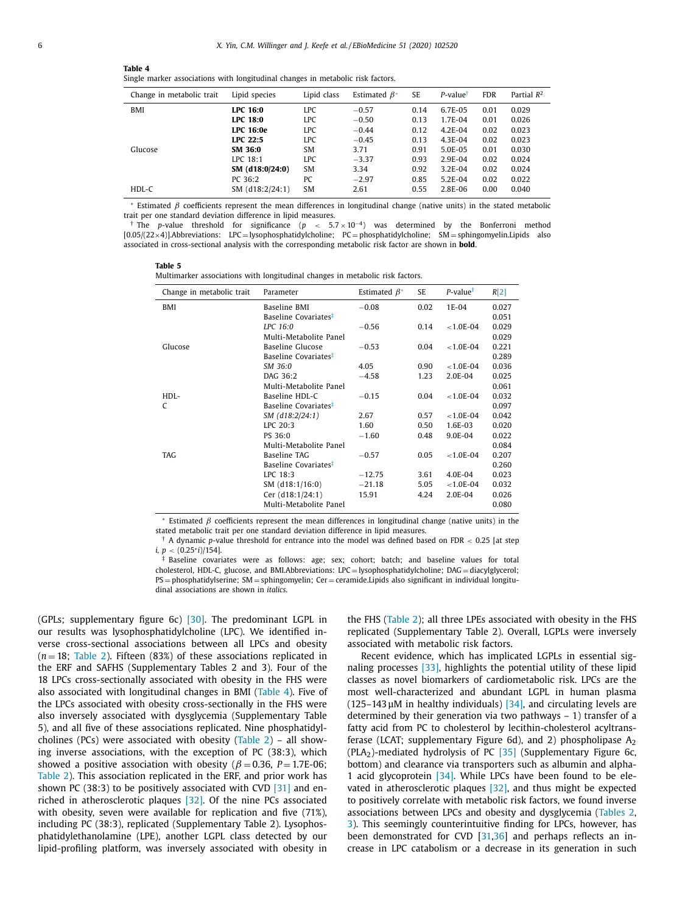| Change in metabolic trait | Lipid species   | Lipid class | Estimated $\beta^*$ | <b>SE</b> | $P$ -value <sup>T</sup> | <b>FDR</b> | Partial $R^2$ |
|---------------------------|-----------------|-------------|---------------------|-----------|-------------------------|------------|---------------|
| BMI                       | LPC 16:0        | <b>LPC</b>  | $-0.57$             | 0.14      | 6.7E-05                 | 0.01       | 0.029         |
|                           | <b>LPC 18:0</b> | <b>LPC</b>  | $-0.50$             | 0.13      | 1.7E-04                 | 0.01       | 0.026         |
|                           | LPC 16:0e       | <b>LPC</b>  | $-0.44$             | 0.12      | $4.2E - 04$             | 0.02       | 0.023         |
|                           | LPC 22:5        | <b>LPC</b>  | $-0.45$             | 0.13      | $4.3E - 04$             | 0.02       | 0.023         |
| Glucose                   | SM 36:0         | SM          | 3.71                | 0.91      | 5.0E-05                 | 0.01       | 0.030         |
|                           | LPC 18:1        | <b>LPC</b>  | $-3.37$             | 0.93      | 2.9E-04                 | 0.02       | 0.024         |
|                           | SM (d18:0/24:0) | SM          | 3.34                | 0.92      | $3.2E-04$               | 0.02       | 0.024         |
|                           | PC 36:2         | PC          | $-2.97$             | 0.85      | $5.2E-04$               | 0.02       | 0.022         |
| HDL-C                     | SM (d18:2/24:1) | SM          | 2.61                | 0.55      | 2.8E-06                 | 0.00       | 0.040         |

Single marker associations with longitudinal changes in metabolic risk factors.

 $*$  Estimated *β* coefficients represent the mean differences in longitudinal change (native units) in the stated metabolic trait per one standard deviation difference in lipid measures.

† The *<sup>p</sup>*-value threshold for significance (*<sup>p</sup>* <sup>&</sup>lt; 5.7 <sup>×</sup> <sup>10</sup>−4) was determined by the Bonferroni method  $[0.05/(22\times4)]$ .Abbreviations: LPC = lysophosphatidylcholine; PC = phosphatidylcholine; SM = sphingomyelin.Lipids also associated in cross-sectional analysis with the corresponding metabolic risk factor are shown in **bold**.

|--|--|--|--|

<span id="page-5-0"></span>**Table 4**

Multimarker associations with longitudinal changes in metabolic risk factors.

| Change in metabolic trait | Parameter                        | Estimated $\beta^*$ | <b>SE</b> | P-value <sup>†</sup> | R[2]  |
|---------------------------|----------------------------------|---------------------|-----------|----------------------|-------|
| BMI                       | Baseline BMI                     | $-0.08$             | 0.02      | 1E-04                | 0.027 |
|                           | Baseline Covariates <sup>‡</sup> |                     |           |                      | 0.051 |
|                           | LPC 16:0                         | $-0.56$             | 0.14      | $< 1.0E - 04$        | 0.029 |
|                           | Multi-Metabolite Panel           |                     |           |                      | 0.029 |
| Glucose                   | <b>Baseline Glucose</b>          | $-0.53$             | 0.04      | $< 1.0E - 04$        | 0.221 |
|                           | Baseline Covariates <sup>‡</sup> |                     |           |                      | 0.289 |
|                           | SM 36:0                          | 4.05                | 0.90      | $< 1.0E - 04$        | 0.036 |
|                           | DAG 36:2                         | $-4.58$             | 1.23      | 2.0E-04              | 0.025 |
|                           | Multi-Metabolite Panel           |                     |           |                      | 0.061 |
| $HDL -$                   | Baseline HDL-C                   | $-0.15$             | 0.04      | $< 1.0E - 04$        | 0.032 |
| C                         | Baseline Covariates <sup>‡</sup> |                     |           |                      | 0.097 |
|                           | SM (d18:2/24:1)                  | 2.67                | 0.57      | $< 1.0E - 04$        | 0.042 |
|                           | LPC 20:3                         | 1.60                | 0.50      | 1.6E-03              | 0.020 |
|                           | PS 36:0                          | $-1.60$             | 0.48      | 9.0E-04              | 0.022 |
|                           | Multi-Metabolite Panel           |                     |           |                      | 0.084 |
| TAG                       | Baseline TAG                     | $-0.57$             | 0.05      | $< 1.0E - 04$        | 0.207 |
|                           | Baseline Covariates <sup>‡</sup> |                     |           |                      | 0.260 |
|                           | LPC 18:3                         | $-12.75$            | 3.61      | 4.0E-04              | 0.023 |
|                           | SM (d18:1/16:0)                  | $-21.18$            | 5.05      | $< 1.0E - 04$        | 0.032 |
|                           | Cer (d18:1/24:1)                 | 15.91               | 4.24      | 2.0E-04              | 0.026 |
|                           | Multi-Metabolite Panel           |                     |           |                      | 0.080 |

<sup>∗</sup> Estimated β coefficients represent the mean differences in longitudinal change (native units) in the stated metabolic trait per one standard deviation difference in lipid measures.

† A dynamic *p*-value threshold for entrance into the model was defined based on FDR < 0.25 [at step *i, p* < (0.25∗*i*)/154].

‡ Baseline covariates were as follows: age; sex; cohort; batch; and baseline values for total cholesterol, HDL-C, glucose, and BMI.Abbreviations: LPC = lysophosphatidylcholine: DAG = diacylglycerol; PS = phosphatidylserine; SM = sphingomyelin; Cer = ceramide.Lipids also significant in individual longitudinal associations are shown in *italics*.

(GPLs; supplementary figure 6c) [\[30\].](#page-7-0) The predominant LGPL in our results was lysophosphatidylcholine (LPC). We identified inverse cross-sectional associations between all LPCs and obesity  $(n=18;$  [Table](#page-4-0) 2). Fifteen (83%) of these associations replicated in the ERF and SAFHS (Supplementary Tables 2 and 3). Four of the 18 LPCs cross-sectionally associated with obesity in the FHS were also associated with longitudinal changes in BMI (Table 4). Five of the LPCs associated with obesity cross-sectionally in the FHS were also inversely associated with dysglycemia (Supplementary Table 5), and all five of these associations replicated. Nine phosphatidylcholines (PCs) were associated with obesity [\(Table](#page-4-0) 2) – all showing inverse associations, with the exception of PC (38:3), which showed a positive association with obesity ( $\beta = 0.36$ ,  $P = 1.7E-06$ ; [Table](#page-4-0) 2). This association replicated in the ERF, and prior work has shown PC (38:3) to be positively associated with CVD [\[31\]](#page-7-0) and enriched in atherosclerotic plaques [\[32\].](#page-7-0) Of the nine PCs associated with obesity, seven were available for replication and five (71%), including PC (38:3), replicated (Supplementary Table 2). Lysophosphatidylethanolamine (LPE), another LGPL class detected by our lipid-profiling platform, was inversely associated with obesity in the FHS [\(Table](#page-4-0) 2); all three LPEs associated with obesity in the FHS replicated (Supplementary Table 2). Overall, LGPLs were inversely associated with metabolic risk factors.

Recent evidence, which has implicated LGPLs in essential signaling processes [\[33\],](#page-7-0) highlights the potential utility of these lipid classes as novel biomarkers of cardiometabolic risk. LPCs are the most well-characterized and abundant LGPL in human plasma (125–143  $\mu$ M in healthy individuals) [\[34\],](#page-7-0) and circulating levels are determined by their generation via two pathways – 1) transfer of a fatty acid from PC to cholesterol by lecithin-cholesterol acyltransferase (LCAT; supplementary Figure 6d), and 2) phospholipase  $A_2$ (PLA<sub>2</sub>)-mediated hydrolysis of PC [\[35\]](#page-7-0) (Supplementary Figure 6c, bottom) and clearance via transporters such as albumin and alpha-1 acid glycoprotein [\[34\].](#page-7-0) While LPCs have been found to be elevated in atherosclerotic plaques [\[32\],](#page-7-0) and thus might be expected to positively correlate with metabolic risk factors, we found inverse associations between LPCs and obesity and dysglycemia [\(Tables](#page-4-0) 2, [3\)](#page-4-0). This seemingly counterintuitive finding for LPCs, however, has been demonstrated for CVD [\[31,36\]](#page-7-0) and perhaps reflects an increase in LPC catabolism or a decrease in its generation in such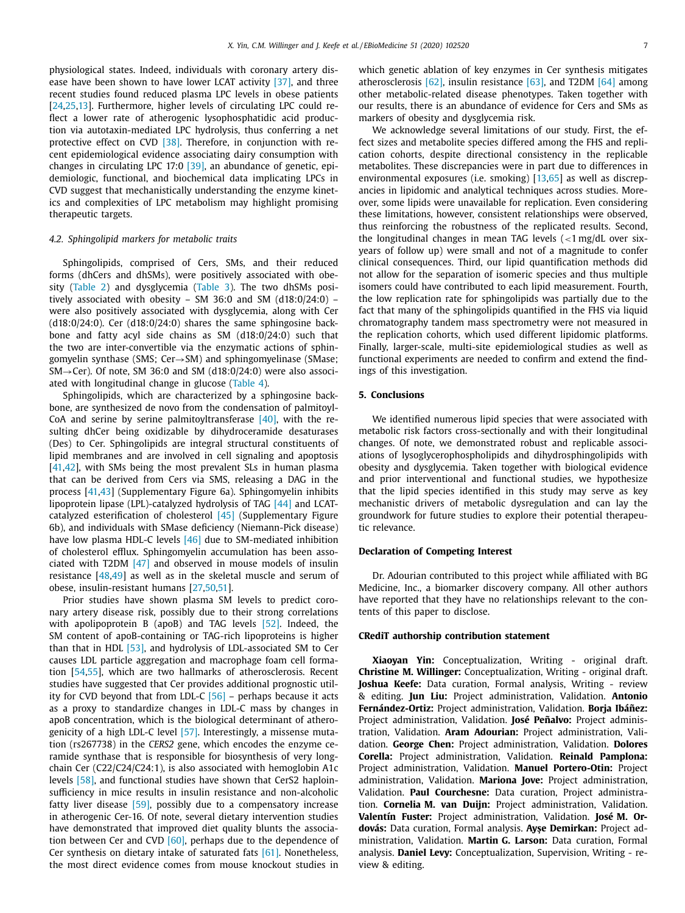physiological states. Indeed, individuals with coronary artery disease have been shown to have lower LCAT activity [\[37\],](#page-7-0) and three recent studies found reduced plasma LPC levels in obese patients [\[24,25,13\]](#page-7-0). Furthermore, higher levels of circulating LPC could reflect a lower rate of atherogenic lysophosphatidic acid production via autotaxin-mediated LPC hydrolysis, thus conferring a net protective effect on CVD [\[38\].](#page-7-0) Therefore, in conjunction with recent epidemiological evidence associating dairy consumption with changes in circulating LPC 17:0 [\[39\],](#page-8-0) an abundance of genetic, epidemiologic, functional, and biochemical data implicating LPCs in CVD suggest that mechanistically understanding the enzyme kinetics and complexities of LPC metabolism may highlight promising therapeutic targets.

# *4.2. Sphingolipid markers for metabolic traits*

Sphingolipids, comprised of Cers, SMs, and their reduced forms (dhCers and dhSMs), were positively associated with obesity [\(Table](#page-4-0) 2) and dysglycemia [\(Table](#page-4-0) 3). The two dhSMs positively associated with obesity – SM 36:0 and SM (d18:0/24:0) – were also positively associated with dysglycemia, along with Cer (d18:0/24:0). Cer (d18:0/24:0) shares the same sphingosine backbone and fatty acyl side chains as SM (d18:0/24:0) such that the two are inter-convertible via the enzymatic actions of sphingomyelin synthase (SMS; Cer→SM) and sphingomyelinase (SMase;  $SM \rightarrow Cer$ ). Of note, SM 36:0 and SM (d18:0/24:0) were also associated with longitudinal change in glucose [\(Table](#page-5-0) 4).

Sphingolipids, which are characterized by a sphingosine backbone, are synthesized de novo from the condensation of palmitoyl-CoA and serine by serine palmitoyltransferase  $[40]$ , with the resulting dhCer being oxidizable by dihydroceramide desaturases (Des) to Cer. Sphingolipids are integral structural constituents of lipid membranes and are involved in cell signaling and apoptosis [\[41,42\]](#page-8-0), with SMs being the most prevalent SLs in human plasma that can be derived from Cers via SMS, releasing a DAG in the process [\[41,43\]](#page-8-0) (Supplementary Figure 6a). Sphingomyelin inhibits lipoprotein lipase (LPL)-catalyzed hydrolysis of TAG [\[44\]](#page-8-0) and LCATcatalyzed esterification of cholesterol [\[45\]](#page-8-0) (Supplementary Figure 6b), and individuals with SMase deficiency (Niemann-Pick disease) have low plasma HDL-C levels [\[46\]](#page-8-0) due to SM-mediated inhibition of cholesterol efflux. Sphingomyelin accumulation has been associated with T2DM [\[47\]](#page-8-0) and observed in mouse models of insulin resistance [\[48,49\]](#page-8-0) as well as in the skeletal muscle and serum of obese, insulin-resistant humans [\[27](#page-7-0)[,50,51\]](#page-8-0).

Prior studies have shown plasma SM levels to predict coronary artery disease risk, possibly due to their strong correlations with apolipoprotein B (apoB) and TAG levels [\[52\].](#page-8-0) Indeed, the SM content of apoB-containing or TAG-rich lipoproteins is higher than that in HDL [\[53\],](#page-8-0) and hydrolysis of LDL-associated SM to Cer causes LDL particle aggregation and macrophage foam cell formation [\[54,55\]](#page-8-0), which are two hallmarks of atherosclerosis. Recent studies have suggested that Cer provides additional prognostic utility for CVD beyond that from LDL-C  $[56]$  – perhaps because it acts as a proxy to standardize changes in LDL-C mass by changes in apoB concentration, which is the biological determinant of atherogenicity of a high LDL-C level [\[57\].](#page-8-0) Interestingly, a missense mutation (rs267738) in the *CERS2* gene, which encodes the enzyme ceramide synthase that is responsible for biosynthesis of very longchain Cer (C22/C24/C24:1), is also associated with hemoglobin A1c levels [\[58\],](#page-8-0) and functional studies have shown that CerS2 haploinsufficiency in mice results in insulin resistance and non-alcoholic fatty liver disease [\[59\],](#page-8-0) possibly due to a compensatory increase in atherogenic Cer-16. Of note, several dietary intervention studies have demonstrated that improved diet quality blunts the association between Cer and CVD [\[60\],](#page-8-0) perhaps due to the dependence of Cer synthesis on dietary intake of saturated fats [\[61\].](#page-8-0) Nonetheless, the most direct evidence comes from mouse knockout studies in

which genetic ablation of key enzymes in Cer synthesis mitigates atherosclerosis [\[62\],](#page-8-0) insulin resistance [\[63\],](#page-8-0) and T2DM [\[64\]](#page-8-0) among other metabolic-related disease phenotypes. Taken together with our results, there is an abundance of evidence for Cers and SMs as markers of obesity and dysglycemia risk.

We acknowledge several limitations of our study. First, the effect sizes and metabolite species differed among the FHS and replication cohorts, despite directional consistency in the replicable metabolites. These discrepancies were in part due to differences in environmental exposures (i.e. smoking) [\[13](#page-7-0)[,65\]](#page-8-0) as well as discrepancies in lipidomic and analytical techniques across studies. Moreover, some lipids were unavailable for replication. Even considering these limitations, however, consistent relationships were observed, thus reinforcing the robustness of the replicated results. Second, the longitudinal changes in mean TAG levels  $\left($  <1 mg/dL over sixyears of follow up) were small and not of a magnitude to confer clinical consequences. Third, our lipid quantification methods did not allow for the separation of isomeric species and thus multiple isomers could have contributed to each lipid measurement. Fourth, the low replication rate for sphingolipids was partially due to the fact that many of the sphingolipids quantified in the FHS via liquid chromatography tandem mass spectrometry were not measured in the replication cohorts, which used different lipidomic platforms. Finally, larger-scale, multi-site epidemiological studies as well as functional experiments are needed to confirm and extend the findings of this investigation.

# **5. Conclusions**

We identified numerous lipid species that were associated with metabolic risk factors cross-sectionally and with their longitudinal changes. Of note, we demonstrated robust and replicable associations of lysoglycerophospholipids and dihydrosphingolipids with obesity and dysglycemia. Taken together with biological evidence and prior interventional and functional studies, we hypothesize that the lipid species identified in this study may serve as key mechanistic drivers of metabolic dysregulation and can lay the groundwork for future studies to explore their potential therapeutic relevance.

# **Declaration of Competing Interest**

Dr. Adourian contributed to this project while affiliated with BG Medicine, Inc., a biomarker discovery company. All other authors have reported that they have no relationships relevant to the contents of this paper to disclose.

#### **CRediT authorship contribution statement**

**Xiaoyan Yin:** Conceptualization, Writing - original draft. **Christine M. Willinger:** Conceptualization, Writing - original draft. **Joshua Keefe:** Data curation, Formal analysis, Writing - review & editing. **Jun Liu:** Project administration, Validation. **Antonio Fernández-Ortiz:** Project administration, Validation. **Borja Ibáñez:** Project administration, Validation. **José Peñalvo:** Project administration, Validation. **Aram Adourian:** Project administration, Validation. **George Chen:** Project administration, Validation. **Dolores Corella:** Project administration, Validation. **Reinald Pamplona:** Project administration, Validation. **Manuel Portero-Otin:** Project administration, Validation. **Mariona Jove:** Project administration, Validation. **Paul Courchesne:** Data curation, Project administration. **Cornelia M. van Duijn:** Project administration, Validation. **Valentín Fuster:** Project administration, Validation. **José M. Ordovás:** Data curation, Formal analysis. Ayse Demirkan: Project administration, Validation. **Martin G. Larson:** Data curation, Formal analysis. **Daniel Levy:** Conceptualization, Supervision, Writing - review & editing.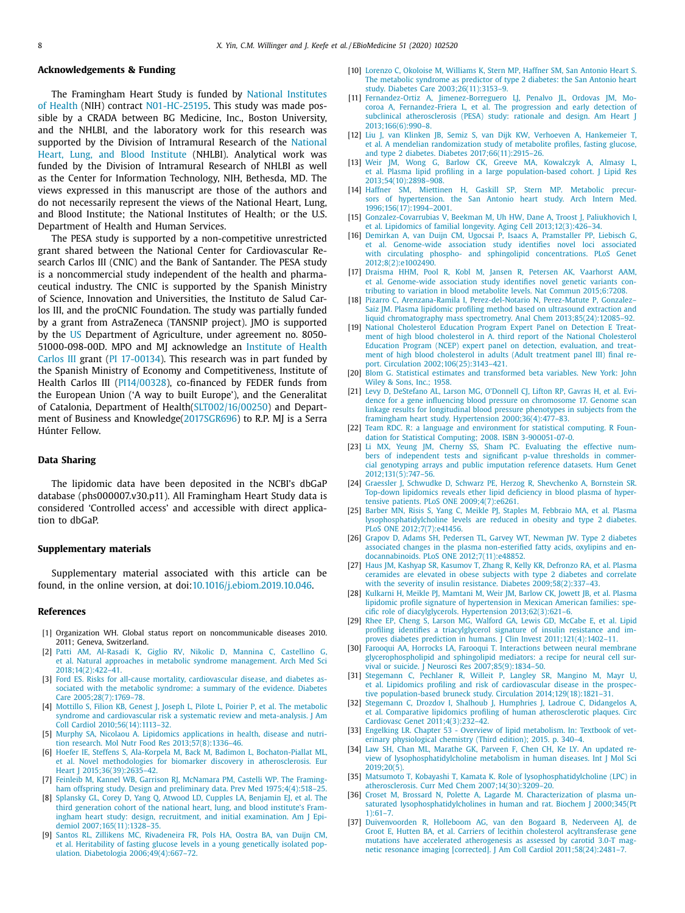# <span id="page-7-0"></span>**Acknowledgements & Funding**

The Framingham Heart Study is funded by National Institutes of Health (NIH) contract [N01-HC-25195.](https://doi.org/10.13039/100000098) This study was made possible by a CRADA between BG Medicine, Inc., Boston University, and the NHLBI, and the laboratory work for this research was supported by the Division of [Intramural](https://doi.org/10.13039/100000050) Research of the National Heart, Lung, and Blood Institute (NHLBI). Analytical work was funded by the Division of Intramural Research of NHLBI as well as the Center for Information Technology, NIH, Bethesda, MD. The views expressed in this manuscript are those of the authors and do not necessarily represent the views of the National Heart, Lung, and Blood Institute; the National Institutes of Health; or the U.S. Department of Health and Human Services.

The PESA study is supported by a non-competitive unrestricted grant shared between the National Center for Cardiovascular Research Carlos III (CNIC) and the Bank of Santander. The PESA study is a noncommercial study independent of the health and pharmaceutical industry. The CNIC is supported by the Spanish Ministry of Science, Innovation and Universities, the Instituto de Salud Carlos III, and the proCNIC Foundation. The study was partially funded by a grant from AstraZeneca (TANSNIP project). JMO is supported by the [US](http://dx.doi.org/10.13039/501100004477) Department of Agriculture, under agreement no. 8050- [51000-098-00D.](https://doi.org/10.13039/501100004587) MPO and MJ acknowledge an Institute of Health Carlos III grant (PI 17-00134). This research was in part funded by the Spanish Ministry of Economy and Competitiveness, Institute of Health Carlos III (PI14/00328), co-financed by FEDER funds from the European Union ('A way to built Europe'), and the Generalitat of Catalonia, Department of Health(SLT002/16/00250) and Department of Business and Knowledge(2017SGR696) to R.P. MJ is a Serra Húnter Fellow.

# **Data Sharing**

The lipidomic data have been deposited in the NCBI's dbGaP database (phs000007.v30.p11). All Framingham Heart Study data is considered 'Controlled access' and accessible with direct application to dbGaP.

# **Supplementary materials**

Supplementary material associated with this article can be found, in the online version, at doi[:10.1016/j.ebiom.2019.10.046.](https://doi.org/10.1016/j.ebiom.2019.10.046)

#### **References**

- [1] Organization WH. Global status report on noncommunicable diseases 2010. 2011; Geneva, Switzerland.
- [2] [Patti](http://refhub.elsevier.com/S2352-3964(19)30716-9/sbref0001) AM, [Al-Rasadi](http://refhub.elsevier.com/S2352-3964(19)30716-9/sbref0001) K, [Giglio](http://refhub.elsevier.com/S2352-3964(19)30716-9/sbref0001) RV, [Nikolic](http://refhub.elsevier.com/S2352-3964(19)30716-9/sbref0001) D, [Mannina](http://refhub.elsevier.com/S2352-3964(19)30716-9/sbref0001) C, [Castellino](http://refhub.elsevier.com/S2352-3964(19)30716-9/sbref0001) G, et [al.](http://refhub.elsevier.com/S2352-3964(19)30716-9/sbref0001) Natural approaches in metabolic syndrome management. Arch Med Sci [2018;14\(2\):422–41.](http://refhub.elsevier.com/S2352-3964(19)30716-9/sbref0001)
- [3] [Ford](http://refhub.elsevier.com/S2352-3964(19)30716-9/sbref0002) ES. Risks for all-cause mortality, cardiovascular disease, and diabetes associated with the metabolic syndrome: a summary of the evidence. Diabetes Care [2005;28\(7\):1769–78.](http://refhub.elsevier.com/S2352-3964(19)30716-9/sbref0002)
- [4] [Mottillo](http://refhub.elsevier.com/S2352-3964(19)30716-9/sbref0003) S, [Filion](http://refhub.elsevier.com/S2352-3964(19)30716-9/sbref0003) KB, [Genest](http://refhub.elsevier.com/S2352-3964(19)30716-9/sbref0003) J, [Joseph](http://refhub.elsevier.com/S2352-3964(19)30716-9/sbref0003) L, [Pilote](http://refhub.elsevier.com/S2352-3964(19)30716-9/sbref0003) L, [Poirier](http://refhub.elsevier.com/S2352-3964(19)30716-9/sbref0003) P, et [al.](http://refhub.elsevier.com/S2352-3964(19)30716-9/sbref0003) The metabolic syndrome and cardiovascular risk a systematic review and meta-analysis. J Am Coll Cardiol [2010;56\(14\):1113–32.](http://refhub.elsevier.com/S2352-3964(19)30716-9/sbref0003)
- [5] [Murphy](http://refhub.elsevier.com/S2352-3964(19)30716-9/sbref0004) SA, [Nicolaou](http://refhub.elsevier.com/S2352-3964(19)30716-9/sbref0004) A. Lipidomics applications in health, disease and nutrition research. Mol Nutr Food Res [2013;57\(8\):1336–46.](http://refhub.elsevier.com/S2352-3964(19)30716-9/sbref0004)
- [6] [Hoefer](http://refhub.elsevier.com/S2352-3964(19)30716-9/sbref0005) IE, [Steffens](http://refhub.elsevier.com/S2352-3964(19)30716-9/sbref0005) S, [Ala-Korpela](http://refhub.elsevier.com/S2352-3964(19)30716-9/sbref0005) M, [Back](http://refhub.elsevier.com/S2352-3964(19)30716-9/sbref0005) M, [Badimon](http://refhub.elsevier.com/S2352-3964(19)30716-9/sbref0005) L, [Bochaton-Piallat](http://refhub.elsevier.com/S2352-3964(19)30716-9/sbref0005) ML, et [al.](http://refhub.elsevier.com/S2352-3964(19)30716-9/sbref0005) Novel methodologies for biomarker discovery in atherosclerosis. Eur Heart | 2015;36(39):2635-42.
- [7] [Feinleib](http://refhub.elsevier.com/S2352-3964(19)30716-9/sbref0006) M, [Kannel](http://refhub.elsevier.com/S2352-3964(19)30716-9/sbref0006) WB, [Garrison](http://refhub.elsevier.com/S2352-3964(19)30716-9/sbref0006) RJ, [McNamara](http://refhub.elsevier.com/S2352-3964(19)30716-9/sbref0006) PM, [Castelli](http://refhub.elsevier.com/S2352-3964(19)30716-9/sbref0006) WP. The Framingham offspring study. Design and preliminary data. Prev Med [1975;4\(4\):518–25.](http://refhub.elsevier.com/S2352-3964(19)30716-9/sbref0006)
- [8] [Splansky](http://refhub.elsevier.com/S2352-3964(19)30716-9/sbref0007) GL, [Corey](http://refhub.elsevier.com/S2352-3964(19)30716-9/sbref0007) D, [Yang](http://refhub.elsevier.com/S2352-3964(19)30716-9/sbref0007) Q, [Atwood](http://refhub.elsevier.com/S2352-3964(19)30716-9/sbref0007) LD, [Cupples](http://refhub.elsevier.com/S2352-3964(19)30716-9/sbref0007) LA, [Benjamin](http://refhub.elsevier.com/S2352-3964(19)30716-9/sbref0007) EJ, et [al.](http://refhub.elsevier.com/S2352-3964(19)30716-9/sbref0007) The third generation cohort of the national heart, lung, and blood institute's Framingham heart study: design, recruitment, and initial examination. Am J Epidemiol [2007;165\(11\):1328–35.](http://refhub.elsevier.com/S2352-3964(19)30716-9/sbref0007)
- [9] [Santos](http://refhub.elsevier.com/S2352-3964(19)30716-9/sbref0008) RL, [Zillikens](http://refhub.elsevier.com/S2352-3964(19)30716-9/sbref0008) MC, [Rivadeneira](http://refhub.elsevier.com/S2352-3964(19)30716-9/sbref0008) FR, [Pols](http://refhub.elsevier.com/S2352-3964(19)30716-9/sbref0008) HA, [Oostra](http://refhub.elsevier.com/S2352-3964(19)30716-9/sbref0008) BA, van [Duijn](http://refhub.elsevier.com/S2352-3964(19)30716-9/sbref0008) CM, et [al.](http://refhub.elsevier.com/S2352-3964(19)30716-9/sbref0008) Heritability of fasting glucose levels in a young genetically isolated population. Diabetologia [2006;49\(4\):667–72.](http://refhub.elsevier.com/S2352-3964(19)30716-9/sbref0008)
- [10] [Lorenzo](http://refhub.elsevier.com/S2352-3964(19)30716-9/sbref0009) C, [Okoloise](http://refhub.elsevier.com/S2352-3964(19)30716-9/sbref0009) M, [Williams](http://refhub.elsevier.com/S2352-3964(19)30716-9/sbref0009) K, [Stern](http://refhub.elsevier.com/S2352-3964(19)30716-9/sbref0009) MP, [Haffner](http://refhub.elsevier.com/S2352-3964(19)30716-9/sbref0009) SM, San [Antonio](http://refhub.elsevier.com/S2352-3964(19)30716-9/sbref0009) Heart S. The metabolic syndrome as predictor of type 2 diabetes: the San Antonio heart study. Diabetes Care [2003;26\(11\):3153–9.](http://refhub.elsevier.com/S2352-3964(19)30716-9/sbref0009)
- [11] [Fernandez-Ortiz](http://refhub.elsevier.com/S2352-3964(19)30716-9/sbref0010) A, [Jimenez-Borreguero](http://refhub.elsevier.com/S2352-3964(19)30716-9/sbref0010) LJ, [Penalvo](http://refhub.elsevier.com/S2352-3964(19)30716-9/sbref0010) JL, [Ordovas](http://refhub.elsevier.com/S2352-3964(19)30716-9/sbref0010) JM, Mocoroa A, [Fernandez-Friera](http://refhub.elsevier.com/S2352-3964(19)30716-9/sbref0010) L, et [al.](http://refhub.elsevier.com/S2352-3964(19)30716-9/sbref0010) The progression and early detection of subclinical atherosclerosis (PESA) study: rationale and design. Am Heart J [2013;166\(6\):990–8.](http://refhub.elsevier.com/S2352-3964(19)30716-9/sbref0010)
- [12] [Liu](http://refhub.elsevier.com/S2352-3964(19)30716-9/sbref0011) J, van [Klinken](http://refhub.elsevier.com/S2352-3964(19)30716-9/sbref0011) JB, [Semiz](http://refhub.elsevier.com/S2352-3964(19)30716-9/sbref0011) S, van [Dijk](http://refhub.elsevier.com/S2352-3964(19)30716-9/sbref0011) KW, [Verhoeven](http://refhub.elsevier.com/S2352-3964(19)30716-9/sbref0011) A, [Hankemeier](http://refhub.elsevier.com/S2352-3964(19)30716-9/sbref0011) T, et [al.](http://refhub.elsevier.com/S2352-3964(19)30716-9/sbref0011) A mendelian randomization study of metabolite profiles, fasting glucose, and type 2 diabetes. Diabetes [2017;66\(11\):2915–26.](http://refhub.elsevier.com/S2352-3964(19)30716-9/sbref0011)
- [13] [Weir](http://refhub.elsevier.com/S2352-3964(19)30716-9/sbref0012) JM, [Wong](http://refhub.elsevier.com/S2352-3964(19)30716-9/sbref0012) G, [Barlow](http://refhub.elsevier.com/S2352-3964(19)30716-9/sbref0012) CK, [Greeve](http://refhub.elsevier.com/S2352-3964(19)30716-9/sbref0012) MA, [Kowalczyk](http://refhub.elsevier.com/S2352-3964(19)30716-9/sbref0012) A, [Almasy](http://refhub.elsevier.com/S2352-3964(19)30716-9/sbref0012) L, et [al.](http://refhub.elsevier.com/S2352-3964(19)30716-9/sbref0012) Plasma lipid profiling in a large population-based cohort. J Lipid Res [2013;54\(10\):2898–908.](http://refhub.elsevier.com/S2352-3964(19)30716-9/sbref0012)
- [14] [Haffner](http://refhub.elsevier.com/S2352-3964(19)30716-9/sbref0013) SM, [Miettinen](http://refhub.elsevier.com/S2352-3964(19)30716-9/sbref0013) H, [Gaskill](http://refhub.elsevier.com/S2352-3964(19)30716-9/sbref0013) SP, [Stern](http://refhub.elsevier.com/S2352-3964(19)30716-9/sbref0013) MP. Metabolic precursors of hypertension. the San Antonio heart study. Arch Intern Med. [1996;156\(17\):1994–2001.](http://refhub.elsevier.com/S2352-3964(19)30716-9/sbref0013)
- [15] [Gonzalez-Covarrubias](http://refhub.elsevier.com/S2352-3964(19)30716-9/sbref0014) V, [Beekman](http://refhub.elsevier.com/S2352-3964(19)30716-9/sbref0014) M, Uh [HW,](http://refhub.elsevier.com/S2352-3964(19)30716-9/sbref0014) [Dane](http://refhub.elsevier.com/S2352-3964(19)30716-9/sbref0014) A, [Troost](http://refhub.elsevier.com/S2352-3964(19)30716-9/sbref0014) J, [Paliukhovich](http://refhub.elsevier.com/S2352-3964(19)30716-9/sbref0014) J, et [al.](http://refhub.elsevier.com/S2352-3964(19)30716-9/sbref0014) Lipidomics of familial longevity. Aging Cell [2013;12\(3\):426–34.](http://refhub.elsevier.com/S2352-3964(19)30716-9/sbref0014)
- [16] [Demirkan](http://refhub.elsevier.com/S2352-3964(19)30716-9/sbref0015) A, van [Duijn](http://refhub.elsevier.com/S2352-3964(19)30716-9/sbref0015) CM, [Ugocsai](http://refhub.elsevier.com/S2352-3964(19)30716-9/sbref0015) P, [Isaacs](http://refhub.elsevier.com/S2352-3964(19)30716-9/sbref0015) A, [Pramstaller](http://refhub.elsevier.com/S2352-3964(19)30716-9/sbref0015) PP, [Liebisch](http://refhub.elsevier.com/S2352-3964(19)30716-9/sbref0015) G, et [al.](http://refhub.elsevier.com/S2352-3964(19)30716-9/sbref0015) Genome-wide association study identifies novel loci associated with circulating phospho- and sphingolipid concentrations. PLoS Genet [2012;8\(2\):e1002490.](http://refhub.elsevier.com/S2352-3964(19)30716-9/sbref0015)
- [17] [Draisma](http://refhub.elsevier.com/S2352-3964(19)30716-9/sbref0016) HHM, [Pool](http://refhub.elsevier.com/S2352-3964(19)30716-9/sbref0016) R, [Kobl](http://refhub.elsevier.com/S2352-3964(19)30716-9/sbref0016) M, [Jansen](http://refhub.elsevier.com/S2352-3964(19)30716-9/sbref0016) R, [Petersen](http://refhub.elsevier.com/S2352-3964(19)30716-9/sbref0016) AK, [Vaarhorst](http://refhub.elsevier.com/S2352-3964(19)30716-9/sbref0016) AAM, et [al.](http://refhub.elsevier.com/S2352-3964(19)30716-9/sbref0016) [Genome-wide](http://refhub.elsevier.com/S2352-3964(19)30716-9/sbref0016) association study identifies novel genetic variants contributing to variation in blood metabolite levels. Nat Commun 2015;6:7208.
- [18] [Pizarro](http://refhub.elsevier.com/S2352-3964(19)30716-9/sbref0017) C, [Arenzana-Ramila](http://refhub.elsevier.com/S2352-3964(19)30716-9/sbref0017) I, [Perez-del-Notario](http://refhub.elsevier.com/S2352-3964(19)30716-9/sbref0017) N, [Perez-Matute](http://refhub.elsevier.com/S2352-3964(19)30716-9/sbref0017) P, Gonzalez– Saiz JM. Plasma lipidomic profiling method based on ultrasound extraction and liquid chromatography mass spectrometry. Anal Chem [2013;85\(24\):12085–92.](http://refhub.elsevier.com/S2352-3964(19)30716-9/sbref0017)
- [19] National Cholesterol Education Program Expert Panel on Detection E Treatment of high blood cholesterol in A. third report of the National Cholesterol Education Program (NCEP) expert panel on detection, evaluation, and treatment of high blood cholesterol in adults (Adult treatment panel III) final report. Circulation [2002;106\(25\):3143–421.](http://refhub.elsevier.com/S2352-3964(19)30716-9/sbref0018)
- [20] [Blom](http://refhub.elsevier.com/S2352-3964(19)30716-9/sbref0019) G. Statistical estimates and [transformed](http://refhub.elsevier.com/S2352-3964(19)30716-9/sbref0019) beta variables. New York: John Wiley & Sons, Inc.; 1958.
- [21] [Levy](http://refhub.elsevier.com/S2352-3964(19)30716-9/sbref0020) D, [DeStefano](http://refhub.elsevier.com/S2352-3964(19)30716-9/sbref0020) AL, [Larson](http://refhub.elsevier.com/S2352-3964(19)30716-9/sbref0020) MG, [O'Donnell](http://refhub.elsevier.com/S2352-3964(19)30716-9/sbref0020) CJ, [Lifton](http://refhub.elsevier.com/S2352-3964(19)30716-9/sbref0020) RP, [Gavras](http://refhub.elsevier.com/S2352-3964(19)30716-9/sbref0020) H, et [al.](http://refhub.elsevier.com/S2352-3964(19)30716-9/sbref0020) Evidence for a gene influencing blood pressure on chromosome 17. Genome scan linkage results for longitudinal blood pressure phenotypes in subjects from the framingham heart study. Hypertension [2000;36\(4\):477–83.](http://refhub.elsevier.com/S2352-3964(19)30716-9/sbref0020)
- [22] Team RDC. R: a language and environment for statistical computing. R Foundation for Statistical Computing; 2008. ISBN [3-900051-07-0.](http://refhub.elsevier.com/S2352-3964(19)30716-9/sbref0021)
- [23] Li [MX,](http://refhub.elsevier.com/S2352-3964(19)30716-9/sbref0022) [Yeung](http://refhub.elsevier.com/S2352-3964(19)30716-9/sbref0022) JM, [Cherny](http://refhub.elsevier.com/S2352-3964(19)30716-9/sbref0022) SS, [Sham](http://refhub.elsevier.com/S2352-3964(19)30716-9/sbref0022) PC. Evaluating the effective numbers of independent tests and significant p-value thresholds in commercial genotyping arrays and public imputation reference datasets. Hum Genet [2012;131\(5\):747–56.](http://refhub.elsevier.com/S2352-3964(19)30716-9/sbref0022)
- [24] [Graessler](http://refhub.elsevier.com/S2352-3964(19)30716-9/sbref0023) J, [Schwudke](http://refhub.elsevier.com/S2352-3964(19)30716-9/sbref0023) D, [Schwarz](http://refhub.elsevier.com/S2352-3964(19)30716-9/sbref0023) PE, [Herzog](http://refhub.elsevier.com/S2352-3964(19)30716-9/sbref0023) R, [Shevchenko](http://refhub.elsevier.com/S2352-3964(19)30716-9/sbref0023) A, [Bornstein](http://refhub.elsevier.com/S2352-3964(19)30716-9/sbref0023) SR. Top-down lipidomics reveals ether lipid deficiency in blood plasma of hypertensive patients. PLoS ONE [2009;4\(7\):e6261.](http://refhub.elsevier.com/S2352-3964(19)30716-9/sbref0023)
- [25] [Barber](http://refhub.elsevier.com/S2352-3964(19)30716-9/sbref0024) MN, [Risis](http://refhub.elsevier.com/S2352-3964(19)30716-9/sbref0024) S, [Yang](http://refhub.elsevier.com/S2352-3964(19)30716-9/sbref0024) C, [Meikle](http://refhub.elsevier.com/S2352-3964(19)30716-9/sbref0024) PJ, [Staples](http://refhub.elsevier.com/S2352-3964(19)30716-9/sbref0024) M, [Febbraio](http://refhub.elsevier.com/S2352-3964(19)30716-9/sbref0024) MA, et [al.](http://refhub.elsevier.com/S2352-3964(19)30716-9/sbref0024) Plasma [lysophosphatidylcholine](http://refhub.elsevier.com/S2352-3964(19)30716-9/sbref0024) levels are reduced in obesity and type 2 diabetes. PLoS ONE 2012;7(7):e41456.
- [26] [Grapov](http://refhub.elsevier.com/S2352-3964(19)30716-9/sbref0025) D, [Adams](http://refhub.elsevier.com/S2352-3964(19)30716-9/sbref0025) SH, [Pedersen](http://refhub.elsevier.com/S2352-3964(19)30716-9/sbref0025) TL, [Garvey](http://refhub.elsevier.com/S2352-3964(19)30716-9/sbref0025) WT, [Newman](http://refhub.elsevier.com/S2352-3964(19)30716-9/sbref0025) JW. Type 2 diabetes associated changes in the plasma non-esterified fatty acids, oxylipins and endocannabinoids. PLoS ONE [2012;7\(11\):e48852.](http://refhub.elsevier.com/S2352-3964(19)30716-9/sbref0025)
- [27] [Haus](http://refhub.elsevier.com/S2352-3964(19)30716-9/sbref0026) JM, [Kashyap](http://refhub.elsevier.com/S2352-3964(19)30716-9/sbref0026) SR, [Kasumov](http://refhub.elsevier.com/S2352-3964(19)30716-9/sbref0026) T, [Zhang](http://refhub.elsevier.com/S2352-3964(19)30716-9/sbref0026) R, [Kelly](http://refhub.elsevier.com/S2352-3964(19)30716-9/sbref0026) KR, [Defronzo](http://refhub.elsevier.com/S2352-3964(19)30716-9/sbref0026) RA, et [al.](http://refhub.elsevier.com/S2352-3964(19)30716-9/sbref0026) Plasma ceramides are elevated in obese subjects with type 2 diabetes and correlate with the severity of insulin resistance. Diabetes [2009;58\(2\):337–43.](http://refhub.elsevier.com/S2352-3964(19)30716-9/sbref0026)
- [28] [Kulkarni](http://refhub.elsevier.com/S2352-3964(19)30716-9/sbref0027) H, [Meikle](http://refhub.elsevier.com/S2352-3964(19)30716-9/sbref0027) PJ, [Mamtani](http://refhub.elsevier.com/S2352-3964(19)30716-9/sbref0027) M, [Weir](http://refhub.elsevier.com/S2352-3964(19)30716-9/sbref0027) JM, [Barlow](http://refhub.elsevier.com/S2352-3964(19)30716-9/sbref0027) CK, [Jowett](http://refhub.elsevier.com/S2352-3964(19)30716-9/sbref0027) JB, et [al.](http://refhub.elsevier.com/S2352-3964(19)30716-9/sbref0027) Plasma lipidomic profile signature of hypertension in Mexican American families: specific role of diacylglycerols. Hypertension [2013;62\(3\):621–6.](http://refhub.elsevier.com/S2352-3964(19)30716-9/sbref0027)
- [29] [Rhee](http://refhub.elsevier.com/S2352-3964(19)30716-9/sbref0028) EP, [Cheng](http://refhub.elsevier.com/S2352-3964(19)30716-9/sbref0028) S, [Larson](http://refhub.elsevier.com/S2352-3964(19)30716-9/sbref0028) MG, [Walford](http://refhub.elsevier.com/S2352-3964(19)30716-9/sbref0028) GA, [Lewis](http://refhub.elsevier.com/S2352-3964(19)30716-9/sbref0028) GD, [McCabe](http://refhub.elsevier.com/S2352-3964(19)30716-9/sbref0028) E, et [al.](http://refhub.elsevier.com/S2352-3964(19)30716-9/sbref0028) Lipid profiling identifies a triacylglycerol signature of insulin resistance and improves diabetes prediction in humans. J Clin Invest 2011;121(4):1402-11.
- [30] [Farooqui](http://refhub.elsevier.com/S2352-3964(19)30716-9/sbref0029) AA, [Horrocks](http://refhub.elsevier.com/S2352-3964(19)30716-9/sbref0029) LA, [Farooqui](http://refhub.elsevier.com/S2352-3964(19)30716-9/sbref0029) T. Interactions between neural membrane glycerophospholipid and sphingolipid mediators: a recipe for neural cell survival or suicide. J Neurosci Res [2007;85\(9\):1834–50.](http://refhub.elsevier.com/S2352-3964(19)30716-9/sbref0029)
- [31] [Stegemann](http://refhub.elsevier.com/S2352-3964(19)30716-9/sbref0030) C, [Pechlaner](http://refhub.elsevier.com/S2352-3964(19)30716-9/sbref0030) R, [Willeit](http://refhub.elsevier.com/S2352-3964(19)30716-9/sbref0030) P, [Langley](http://refhub.elsevier.com/S2352-3964(19)30716-9/sbref0030) SR, [Mangino](http://refhub.elsevier.com/S2352-3964(19)30716-9/sbref0030) M, [Mayr](http://refhub.elsevier.com/S2352-3964(19)30716-9/sbref0030) U, et [al.](http://refhub.elsevier.com/S2352-3964(19)30716-9/sbref0030) Lipidomics profiling and risk of cardiovascular disease in the prospective population-based bruneck study. Circulation [2014;129\(18\):1821–31.](http://refhub.elsevier.com/S2352-3964(19)30716-9/sbref0030)
- [32] [Stegemann](http://refhub.elsevier.com/S2352-3964(19)30716-9/sbref0031) C, [Drozdov](http://refhub.elsevier.com/S2352-3964(19)30716-9/sbref0031) I, [Shalhoub](http://refhub.elsevier.com/S2352-3964(19)30716-9/sbref0031) J, [Humphries](http://refhub.elsevier.com/S2352-3964(19)30716-9/sbref0031) J, [Ladroue](http://refhub.elsevier.com/S2352-3964(19)30716-9/sbref0031) C, [Didangelos](http://refhub.elsevier.com/S2352-3964(19)30716-9/sbref0031) A, et [al.](http://refhub.elsevier.com/S2352-3964(19)30716-9/sbref0031) Comparative lipidomics profiling of human atherosclerotic plaques. Circ Cardiovasc Genet [2011;4\(3\):232–42.](http://refhub.elsevier.com/S2352-3964(19)30716-9/sbref0031)
- [33] [Engelking](http://refhub.elsevier.com/S2352-3964(19)30716-9/sbref0032) LR. Chapter 53 Overview of lipid metabolism. In: Textbook of veterinary [physiological](http://refhub.elsevier.com/S2352-3964(19)30716-9/sbref0032) chemistry (Third edition); 2015. p. 340–4.
- [34] [Law](http://refhub.elsevier.com/S2352-3964(19)30716-9/sbref0033) SH, [Chan](http://refhub.elsevier.com/S2352-3964(19)30716-9/sbref0033) ML, [Marathe](http://refhub.elsevier.com/S2352-3964(19)30716-9/sbref0033) GK, [Parveen](http://refhub.elsevier.com/S2352-3964(19)30716-9/sbref0033) F, [Chen](http://refhub.elsevier.com/S2352-3964(19)30716-9/sbref0033) CH, Ke [LY.](http://refhub.elsevier.com/S2352-3964(19)30716-9/sbref0033) An updated review of [lysophosphatidylcholine](http://refhub.elsevier.com/S2352-3964(19)30716-9/sbref0033) metabolism in human diseases. Int J Mol Sci 2019;20(5).
- [35] [Matsumoto](http://refhub.elsevier.com/S2352-3964(19)30716-9/sbref0034) T, [Kobayashi](http://refhub.elsevier.com/S2352-3964(19)30716-9/sbref0034) T, [Kamata](http://refhub.elsevier.com/S2352-3964(19)30716-9/sbref0034) K. Role of [lysophosphatidylcholine](http://refhub.elsevier.com/S2352-3964(19)30716-9/sbref0034) (LPC) in atherosclerosis. Curr Med Chem 2007;14(30):3209–20.
- [36] [Croset](http://refhub.elsevier.com/S2352-3964(19)30716-9/sbref0035) M, [Brossard](http://refhub.elsevier.com/S2352-3964(19)30716-9/sbref0035) N, [Polette](http://refhub.elsevier.com/S2352-3964(19)30716-9/sbref0035) A, [Lagarde](http://refhub.elsevier.com/S2352-3964(19)30716-9/sbref0035) M. Characterization of plasma unsaturated [lysophosphatidylcholines](http://refhub.elsevier.com/S2352-3964(19)30716-9/sbref0035) in human and rat. Biochem J 2000;345(Pt  $1)$  $.61 - 7$ .
- [37] [Duivenvoorden](http://refhub.elsevier.com/S2352-3964(19)30716-9/sbref0036) R, [Holleboom](http://refhub.elsevier.com/S2352-3964(19)30716-9/sbref0036) AG, van den [Bogaard](http://refhub.elsevier.com/S2352-3964(19)30716-9/sbref0036) B, [Nederveen](http://refhub.elsevier.com/S2352-3964(19)30716-9/sbref0036) AJ, de Groot E, [Hutten](http://refhub.elsevier.com/S2352-3964(19)30716-9/sbref0036) BA, et [al.](http://refhub.elsevier.com/S2352-3964(19)30716-9/sbref0036) Carriers of lecithin cholesterol acyltransferase gene mutations have accelerated atherogenesis as assessed by carotid 3.0-T magnetic resonance imaging [corrected]. J Am Coll Cardiol [2011;58\(24\):2481–7.](http://refhub.elsevier.com/S2352-3964(19)30716-9/sbref0036)